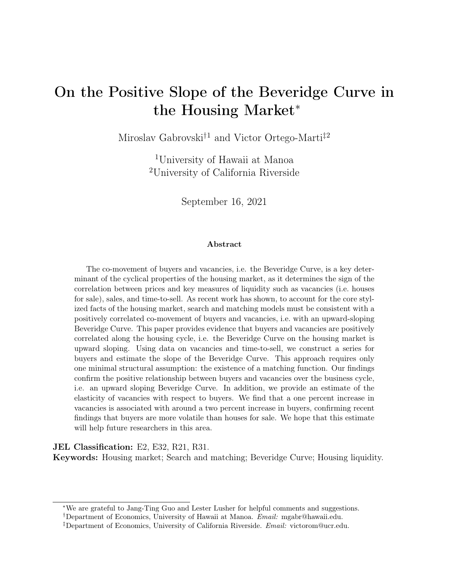# <span id="page-0-0"></span>On the Positive Slope of the Beveridge Curve in the Housing Market<sup>∗</sup>

Miroslav Gabrovski<sup>†1</sup> and Victor Ortego-Marti<sup>‡2</sup>

<sup>1</sup>University of Hawaii at Manoa <sup>2</sup>University of California Riverside

September 16, 2021

### Abstract

The co-movement of buyers and vacancies, i.e. the Beveridge Curve, is a key determinant of the cyclical properties of the housing market, as it determines the sign of the correlation between prices and key measures of liquidity such as vacancies (i.e. houses for sale), sales, and time-to-sell. As recent work has shown, to account for the core stylized facts of the housing market, search and matching models must be consistent with a positively correlated co-movement of buyers and vacancies, i.e. with an upward-sloping Beveridge Curve. This paper provides evidence that buyers and vacancies are positively correlated along the housing cycle, i.e. the Beveridge Curve on the housing market is upward sloping. Using data on vacancies and time-to-sell, we construct a series for buyers and estimate the slope of the Beveridge Curve. This approach requires only one minimal structural assumption: the existence of a matching function. Our findings confirm the positive relationship between buyers and vacancies over the business cycle, i.e. an upward sloping Beveridge Curve. In addition, we provide an estimate of the elasticity of vacancies with respect to buyers. We find that a one percent increase in vacancies is associated with around a two percent increase in buyers, confirming recent findings that buyers are more volatile than houses for sale. We hope that this estimate will help future researchers in this area.

JEL Classification: E2, E32, R21, R31.

Keywords: Housing market; Search and matching; Beveridge Curve; Housing liquidity.

<sup>∗</sup>We are grateful to Jang-Ting Guo and Lester Lusher for helpful comments and suggestions.

<sup>†</sup>Department of Economics, University of Hawaii at Manoa. Email: mgabr@hawaii.edu.

<sup>‡</sup>Department of Economics, University of California Riverside. Email: victorom@ucr.edu.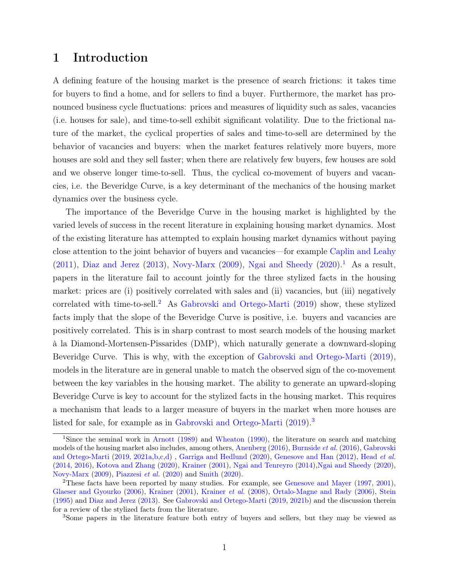# 1 Introduction

A defining feature of the housing market is the presence of search frictions: it takes time for buyers to find a home, and for sellers to find a buyer. Furthermore, the market has pronounced business cycle fluctuations: prices and measures of liquidity such as sales, vacancies (i.e. houses for sale), and time-to-sell exhibit significant volatility. Due to the frictional nature of the market, the cyclical properties of sales and time-to-sell are determined by the behavior of vacancies and buyers: when the market features relatively more buyers, more houses are sold and they sell faster; when there are relatively few buyers, few houses are sold and we observe longer time-to-sell. Thus, the cyclical co-movement of buyers and vacancies, i.e. the Beveridge Curve, is a key determinant of the mechanics of the housing market dynamics over the business cycle.

The importance of the Beveridge Curve in the housing market is highlighted by the varied levels of success in the recent literature in explaining housing market dynamics. Most of the existing literature has attempted to explain housing market dynamics without paying close attention to the joint behavior of buyers and vacancies—for example [Caplin and Leahy](#page-6-0) [\(2011\)](#page-6-0), [Diaz and Jerez](#page-6-1) [\(2013\)](#page-6-1), [Novy-Marx](#page-7-0) [\(2009\)](#page-7-0), [Ngai and Sheedy](#page-7-1) [\(2020\)](#page-7-1).<sup>[1](#page-0-0)</sup> As a result, papers in the literature fail to account jointly for the three stylized facts in the housing market: prices are (i) positively correlated with sales and (ii) vacancies, but (iii) negatively correlated with time-to-sell.<sup>[2](#page-0-0)</sup> As [Gabrovski and Ortego-Marti](#page-6-2)  $(2019)$  show, these stylized facts imply that the slope of the Beveridge Curve is positive, i.e. buyers and vacancies are positively correlated. This is in sharp contrast to most search models of the housing market à la Diamond-Mortensen-Pissarides (DMP), which naturally generate a downward-sloping Beveridge Curve. This is why, with the exception of [Gabrovski and Ortego-Marti](#page-6-2) [\(2019\)](#page-6-2), models in the literature are in general unable to match the observed sign of the co-movement between the key variables in the housing market. The ability to generate an upward-sloping Beveridge Curve is key to account for the stylized facts in the housing market. This requires a mechanism that leads to a larger measure of buyers in the market when more houses are listed for sale, for example as in [Gabrovski and Ortego-Marti](#page-6-2) [\(2019\)](#page-6-2).[3](#page-0-0)

<sup>1</sup>Since the seminal work in [Arnott](#page-6-3) [\(1989\)](#page-6-3) and [Wheaton](#page-7-2) [\(1990\)](#page-7-2), the literature on search and matching models of the housing market also includes, among others, [Anenberg](#page-6-4) [\(2016\)](#page-6-4), [Burnside](#page-6-5) et al. [\(2016\)](#page-6-5), [Gabrovski](#page-6-2) [and Ortego-Marti](#page-6-2) [\(2019,](#page-6-2) [2021a](#page-6-6)[,b,](#page-6-7)[c,](#page-6-8)[d\)](#page-6-9) , [Garriga and Hedlund](#page-6-10) [\(2020\)](#page-6-10), [Genesove and Han](#page-6-11) [\(2012\)](#page-6-11), [Head](#page-7-3) et al. [\(2014,](#page-7-3) [2016\)](#page-7-4), [Kotova and Zhang](#page-7-5) [\(2020\)](#page-7-5), [Krainer](#page-7-6) [\(2001\)](#page-7-6), [Ngai and Tenreyro](#page-7-7) [\(2014\)](#page-7-7)[,Ngai and Sheedy](#page-7-1) [\(2020\)](#page-7-1), [Novy-Marx](#page-7-0) [\(2009\)](#page-7-0), [Piazzesi](#page-7-8) et al. [\(2020\)](#page-7-8) and [Smith](#page-7-9) [\(2020\)](#page-7-9).

<sup>2</sup>These facts have been reported by many studies. For example, see [Genesove and Mayer](#page-6-12) [\(1997,](#page-6-12) [2001\)](#page-6-13), [Glaeser and Gyourko](#page-7-10) [\(2006\)](#page-7-10), [Krainer](#page-7-6) [\(2001\)](#page-7-6), [Krainer](#page-7-11) et al. [\(2008\)](#page-7-11), [Ortalo-Magne and Rady](#page-7-12) [\(2006\)](#page-7-12), [Stein](#page-7-13) [\(1995\)](#page-7-13) and [Diaz and Jerez](#page-6-1) [\(2013\)](#page-6-1). See [Gabrovski and Ortego-Marti](#page-6-2) [\(2019,](#page-6-2) [2021b\)](#page-6-7) and the discussion therein for a review of the stylized facts from the literature.

<sup>3</sup>Some papers in the literature feature both entry of buyers and sellers, but they may be viewed as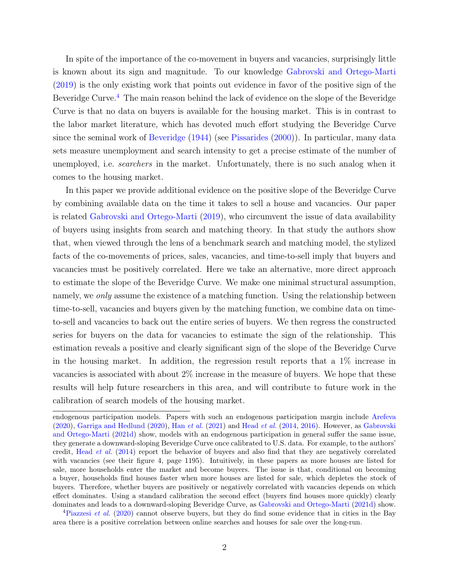In spite of the importance of the co-movement in buyers and vacancies, surprisingly little is known about its sign and magnitude. To our knowledge [Gabrovski and Ortego-Marti](#page-6-2) [\(2019\)](#page-6-2) is the only existing work that points out evidence in favor of the positive sign of the Beveridge Curve.<sup>[4](#page-0-0)</sup> The main reason behind the lack of evidence on the slope of the Beveridge Curve is that no data on buyers is available for the housing market. This is in contrast to the labor market literature, which has devoted much effort studying the Beveridge Curve since the seminal work of [Beveridge](#page-6-14) [\(1944\)](#page-6-14) (see [Pissarides](#page-7-14) [\(2000\)](#page-7-14)). In particular, many data sets measure unemployment and search intensity to get a precise estimate of the number of unemployed, i.e. searchers in the market. Unfortunately, there is no such analog when it comes to the housing market.

In this paper we provide additional evidence on the positive slope of the Beveridge Curve by combining available data on the time it takes to sell a house and vacancies. Our paper is related [Gabrovski and Ortego-Marti](#page-6-2) [\(2019\)](#page-6-2), who circumvent the issue of data availability of buyers using insights from search and matching theory. In that study the authors show that, when viewed through the lens of a benchmark search and matching model, the stylized facts of the co-movements of prices, sales, vacancies, and time-to-sell imply that buyers and vacancies must be positively correlated. Here we take an alternative, more direct approach to estimate the slope of the Beveridge Curve. We make one minimal structural assumption, namely, we only assume the existence of a matching function. Using the relationship between time-to-sell, vacancies and buyers given by the matching function, we combine data on timeto-sell and vacancies to back out the entire series of buyers. We then regress the constructed series for buyers on the data for vacancies to estimate the sign of the relationship. This estimation reveals a positive and clearly significant sign of the slope of the Beveridge Curve in the housing market. In addition, the regression result reports that a 1% increase in vacancies is associated with about 2% increase in the measure of buyers. We hope that these results will help future researchers in this area, and will contribute to future work in the calibration of search models of the housing market.

endogenous participation models. Papers with such an endogenous participation margin include [Arefeva](#page-6-15)  $(2020)$ , [Garriga and Hedlund](#page-6-10)  $(2020)$ , Han *[et al.](#page-7-15)*  $(2021)$  and [Head](#page-7-3) *et al.*  $(2014, 2016)$  $(2014, 2016)$  $(2014, 2016)$ . However, as [Gabrovski](#page-6-9) [and Ortego-Marti](#page-6-9) [\(2021d\)](#page-6-9) show, models with an endogenous participation in general suffer the same issue, they generate a downward-sloping Beveridge Curve once calibrated to U.S. data. For example, to the authors' credit, Head [et al.](#page-7-3) [\(2014\)](#page-7-3) report the behavior of buyers and also find that they are negatively correlated with vacancies (see their figure 4, page 1195). Intuitively, in these papers as more houses are listed for sale, more households enter the market and become buyers. The issue is that, conditional on becoming a buyer, households find houses faster when more houses are listed for sale, which depletes the stock of buyers. Therefore, whether buyers are positively or negatively correlated with vacancies depends on which effect dominates. Using a standard calibration the second effect (buyers find houses more quickly) clearly dominates and leads to a downward-sloping Beveridge Curve, as [Gabrovski and Ortego-Marti](#page-6-9) [\(2021d\)](#page-6-9) show.

<sup>&</sup>lt;sup>4</sup>[Piazzesi](#page-7-8) *et al.* [\(2020\)](#page-7-8) cannot observe buyers, but they do find some evidence that in cities in the Bay area there is a positive correlation between online searches and houses for sale over the long-run.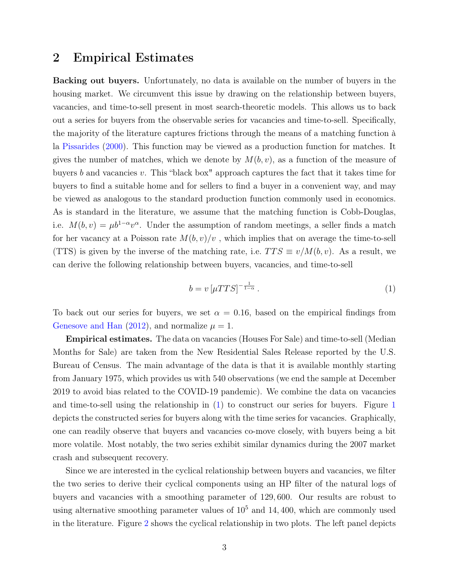## 2 Empirical Estimates

Backing out buyers. Unfortunately, no data is available on the number of buyers in the housing market. We circumvent this issue by drawing on the relationship between buyers, vacancies, and time-to-sell present in most search-theoretic models. This allows us to back out a series for buyers from the observable series for vacancies and time-to-sell. Specifically, the majority of the literature captures frictions through the means of a matching function à la [Pissarides](#page-7-14) [\(2000\)](#page-7-14). This function may be viewed as a production function for matches. It gives the number of matches, which we denote by  $M(b, v)$ , as a function of the measure of buyers b and vacancies v. This "black box" approach captures the fact that it takes time for buyers to find a suitable home and for sellers to find a buyer in a convenient way, and may be viewed as analogous to the standard production function commonly used in economics. As is standard in the literature, we assume that the matching function is Cobb-Douglas, i.e.  $M(b, v) = \mu b^{1-\alpha} v^{\alpha}$ . Under the assumption of random meetings, a seller finds a match for her vacancy at a Poisson rate  $M(b, v)/v$ , which implies that on average the time-to-sell (TTS) is given by the inverse of the matching rate, i.e.  $TTS \equiv v/M(b, v)$ . As a result, we can derive the following relationship between buyers, vacancies, and time-to-sell

<span id="page-3-0"></span>
$$
b = v \left[ \mu TTS \right]^{-\frac{1}{1-\alpha}}.
$$
\n<sup>(1)</sup>

To back out our series for buyers, we set  $\alpha = 0.16$ , based on the empirical findings from [Genesove and Han](#page-6-11) [\(2012\)](#page-6-11), and normalize  $\mu = 1$ .

Empirical estimates. The data on vacancies (Houses For Sale) and time-to-sell (Median Months for Sale) are taken from the New Residential Sales Release reported by the U.S. Bureau of Census. The main advantage of the data is that it is available monthly starting from January 1975, which provides us with 540 observations (we end the sample at December 2019 to avoid bias related to the COVID-19 pandemic). We combine the data on vacancies and time-to-sell using the relationship in [\(1\)](#page-3-0) to construct our series for buyers. Figure [1](#page-4-0) depicts the constructed series for buyers along with the time series for vacancies. Graphically, one can readily observe that buyers and vacancies co-move closely, with buyers being a bit more volatile. Most notably, the two series exhibit similar dynamics during the 2007 market crash and subsequent recovery.

Since we are interested in the cyclical relationship between buyers and vacancies, we filter the two series to derive their cyclical components using an HP filter of the natural logs of buyers and vacancies with a smoothing parameter of 129, 600. Our results are robust to using alternative smoothing parameter values of  $10<sup>5</sup>$  and  $14, 400$ , which are commonly used in the literature. Figure [2](#page-5-0) shows the cyclical relationship in two plots. The left panel depicts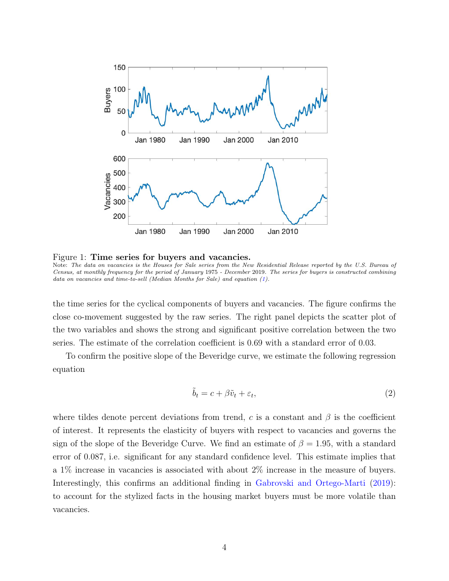<span id="page-4-0"></span>

Figure 1: Time series for buyers and vacancies. Note: The data on vacancies is the Houses for Sale series from the New Residential Release reported by the U.S. Bureau of Census, at monthly frequency for the period of January 1975 - December 2019. The series for buyers is constructed combining data on vacancies and time-to-sell (Median Months for Sale) and equation [\(1\)](#page-3-0).

the time series for the cyclical components of buyers and vacancies. The figure confirms the close co-movement suggested by the raw series. The right panel depicts the scatter plot of the two variables and shows the strong and significant positive correlation between the two series. The estimate of the correlation coefficient is 0.69 with a standard error of 0.03.

To confirm the positive slope of the Beveridge curve, we estimate the following regression equation

$$
\tilde{b}_t = c + \beta \tilde{v}_t + \varepsilon_t,\tag{2}
$$

where tildes denote percent deviations from trend, c is a constant and  $\beta$  is the coefficient of interest. It represents the elasticity of buyers with respect to vacancies and governs the sign of the slope of the Beveridge Curve. We find an estimate of  $\beta = 1.95$ , with a standard error of 0.087, i.e. significant for any standard confidence level. This estimate implies that a 1% increase in vacancies is associated with about 2% increase in the measure of buyers. Interestingly, this confirms an additional finding in [Gabrovski and Ortego-Marti](#page-6-2) [\(2019\)](#page-6-2): to account for the stylized facts in the housing market buyers must be more volatile than vacancies.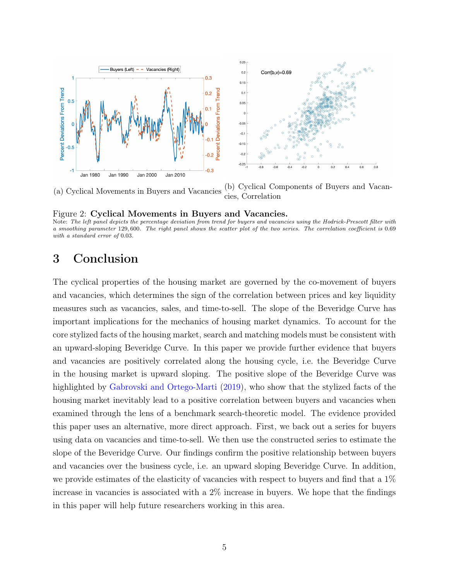<span id="page-5-0"></span>

(a) Cyclical Movements in Buyers and Vacancies (b) Cyclical Components of Buyers and Vacancies, Correlation

#### Figure 2: Cyclical Movements in Buyers and Vacancies.

Note: The left panel depicts the percentage deviation from trend for buyers and vacancies using the Hodrick-Prescott filter with a smoothing parameter 129, 600. The right panel shows the scatter plot of the two series. The correlation coefficient is 0.69 with a standard error of 0.03.

# 3 Conclusion

The cyclical properties of the housing market are governed by the co-movement of buyers and vacancies, which determines the sign of the correlation between prices and key liquidity measures such as vacancies, sales, and time-to-sell. The slope of the Beveridge Curve has important implications for the mechanics of housing market dynamics. To account for the core stylized facts of the housing market, search and matching models must be consistent with an upward-sloping Beveridge Curve. In this paper we provide further evidence that buyers and vacancies are positively correlated along the housing cycle, i.e. the Beveridge Curve in the housing market is upward sloping. The positive slope of the Beveridge Curve was highlighted by [Gabrovski and Ortego-Marti](#page-6-2) [\(2019\)](#page-6-2), who show that the stylized facts of the housing market inevitably lead to a positive correlation between buyers and vacancies when examined through the lens of a benchmark search-theoretic model. The evidence provided this paper uses an alternative, more direct approach. First, we back out a series for buyers using data on vacancies and time-to-sell. We then use the constructed series to estimate the slope of the Beveridge Curve. Our findings confirm the positive relationship between buyers and vacancies over the business cycle, i.e. an upward sloping Beveridge Curve. In addition, we provide estimates of the elasticity of vacancies with respect to buyers and find that a 1% increase in vacancies is associated with a 2% increase in buyers. We hope that the findings in this paper will help future researchers working in this area.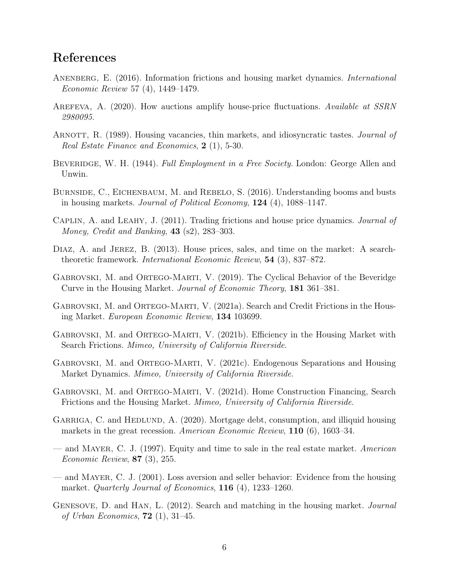## References

- <span id="page-6-4"></span>ANENBERG, E. (2016). Information frictions and housing market dynamics. *International* Economic Review 57 (4), 1449–1479.
- <span id="page-6-15"></span>AREFEVA, A. (2020). How auctions amplify house-price fluctuations. Available at SSRN 2980095.
- <span id="page-6-3"></span>ARNOTT, R. (1989). Housing vacancies, thin markets, and idiosyncratic tastes. *Journal of* Real Estate Finance and Economics, 2 (1), 5-30.
- <span id="page-6-14"></span>BEVERIDGE, W. H. (1944). Full Employment in a Free Society. London: George Allen and Unwin.
- <span id="page-6-5"></span>BURNSIDE, C., EICHENBAUM, M. and REBELO, S. (2016). Understanding booms and busts in housing markets. Journal of Political Economy,  $124$  (4), 1088–1147.
- <span id="page-6-0"></span>CAPLIN, A. and LEAHY, J. (2011). Trading frictions and house price dynamics. *Journal of* Money, Credit and Banking, **43** (s2), 283-303.
- <span id="page-6-1"></span>DIAZ, A. and JEREZ, B. (2013). House prices, sales, and time on the market: A searchtheoretic framework. International Economic Review, 54 (3), 837–872.
- <span id="page-6-2"></span>GABROVSKI, M. and ORTEGO-MARTI, V. (2019). The Cyclical Behavior of the Beveridge Curve in the Housing Market. Journal of Economic Theory, 181 361–381.
- <span id="page-6-6"></span>GABROVSKI, M. and ORTEGO-MARTI, V. (2021a). Search and Credit Frictions in the Housing Market. European Economic Review, 134 103699.
- <span id="page-6-7"></span>GABROVSKI, M. and ORTEGO-MARTI, V. (2021b). Efficiency in the Housing Market with Search Frictions. Mimeo, University of California Riverside.
- <span id="page-6-8"></span>GABROVSKI, M. and ORTEGO-MARTI, V. (2021c). Endogenous Separations and Housing Market Dynamics. Mimeo, University of California Riverside.
- <span id="page-6-9"></span>Gabrovski, M. and Ortego-Marti, V. (2021d). Home Construction Financing, Search Frictions and the Housing Market. Mimeo, University of California Riverside.
- <span id="page-6-10"></span>GARRIGA, C. and HEDLUND, A. (2020). Mortgage debt, consumption, and illiquid housing markets in the great recession. American Economic Review, 110 (6), 1603–34.
- <span id="page-6-12"></span>— and MAYER, C. J. (1997). Equity and time to sale in the real estate market. American Economic Review, 87 (3), 255.
- <span id="page-6-13"></span>— and Mayer, C. J. (2001). Loss aversion and seller behavior: Evidence from the housing market. *Quarterly Journal of Economics*, **116** (4), **1233–1260**.
- <span id="page-6-11"></span>GENESOVE, D. and HAN, L. (2012). Search and matching in the housing market. *Journal* of Urban Economics,  $72$  (1), 31–45.